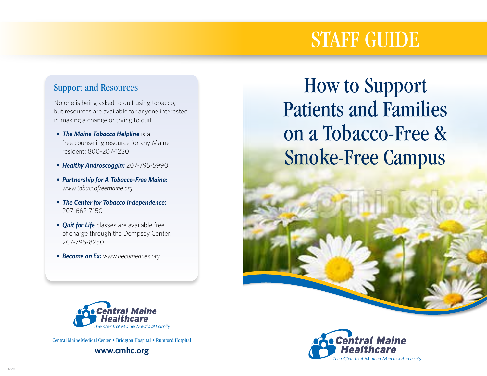# STAFF GUIDE

# Support and Resources

No one is being asked to quit using tobacco, but resources are available for anyone interested in making a change or trying to quit.

- *• The Maine Tobacco Helpline* is a free counseling resource for any Maine resident: 800-207-1230
- *• Healthy Androscoggin:* 207-795-5990
- *• Partnership for A Tobacco-Free Maine: www.tobaccofreemaine.org*
- *• The Center for Tobacco Independence:*  207-662-7150
- *• Quit for Life* classes are available free of charge through the Dempsey Center, 207-795-8250
- *• Become an Ex: www.becomeanex.org*

How to Support Patients and Families on a Tobacco-Free & Smoke-Free Campus



Central Maine Medical Center • Bridgton Hospital • Rumford Hospital

**www.cmhc.org**

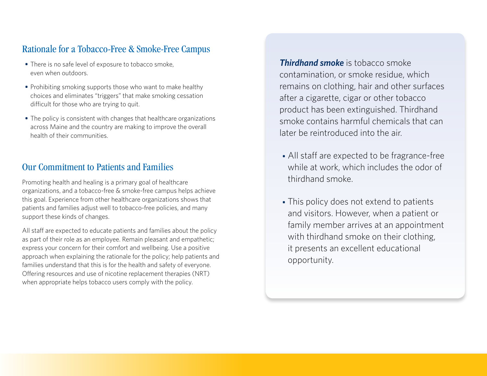# Rationale for a Tobacco-Free & Smoke-Free Campus

- *•* There is no safe level of exposure to tobacco smoke, even when outdoors.
- *•* Prohibiting smoking supports those who want to make healthy choices and eliminates "triggers" that make smoking cessation difficult for those who are trying to quit.
- *•* The policy is consistent with changes that healthcare organizations across Maine and the country are making to improve the overall health of their communities.

## Our Commitment to Patients and Families

Promoting health and healing is a primary goal of healthcare organizations, and a tobacco-free & smoke-free campus helps achieve this goal. Experience from other healthcare organizations shows that patients and families adjust well to tobacco-free policies, and many support these kinds of changes.

All staff are expected to educate patients and families about the policy as part of their role as an employee. Remain pleasant and empathetic; express your concern for their comfort and wellbeing. Use a positive approach when explaining the rationale for the policy; help patients and families understand that this is for the health and safety of everyone. Offering resources and use of nicotine replacement therapies (NRT) when appropriate helps tobacco users comply with the policy.

*Thirdhand smoke* is tobacco smoke contamination, or smoke residue, which remains on clothing, hair and other surfaces after a cigarette, cigar or other tobacco product has been extinguished. Thirdhand smoke contains harmful chemicals that can later be reintroduced into the air.

- *•* All staff are expected to be fragrance-free while at work, which includes the odor of thirdhand smoke.
- *•* This policy does not extend to patients and visitors. However, when a patient or family member arrives at an appointment with thirdhand smoke on their clothing, it presents an excellent educational opportunity.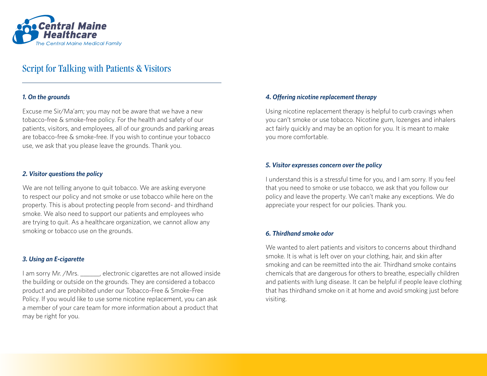

## Script for Talking with Patients & Visitors

#### *1. On the grounds*

Excuse me Sir/Ma'am; you may not be aware that we have a new tobacco-free & smoke-free policy. For the health and safety of our patients, visitors, and employees, all of our grounds and parking areas are tobacco-free & smoke-free. If you wish to continue your tobacco use, we ask that you please leave the grounds. Thank you.

### *2. Visitor questions the policy*

We are not telling anyone to quit tobacco. We are asking everyone to respect our policy and not smoke or use tobacco while here on the property. This is about protecting people from second- and thirdhand smoke. We also need to support our patients and employees who are trying to quit. As a healthcare organization, we cannot allow any smoking or tobacco use on the grounds.

### *3. Using an E-cigarette*

I am sorry Mr. /Mrs. \_\_\_\_\_\_, electronic cigarettes are not allowed inside the building or outside on the grounds. They are considered a tobacco product and are prohibited under our Tobacco-Free & Smoke-Free Policy. If you would like to use some nicotine replacement, you can ask a member of your care team for more information about a product that may be right for you.

### *4. Offering nicotine replacement therapy*

Using nicotine replacement therapy is helpful to curb cravings when you can't smoke or use tobacco. Nicotine gum, lozenges and inhalers act fairly quickly and may be an option for you. It is meant to make you more comfortable.

#### *5. Visitor expresses concern over the policy*

I understand this is a stressful time for you, and I am sorry. If you feel that you need to smoke or use tobacco, we ask that you follow our policy and leave the property. We can't make any exceptions. We do appreciate your respect for our policies. Thank you.

#### *6. Thirdhand smoke odor*

We wanted to alert patients and visitors to concerns about thirdhand smoke. It is what is left over on your clothing, hair, and skin after smoking and can be reemitted into the air. Thirdhand smoke contains chemicals that are dangerous for others to breathe, especially children and patients with lung disease. It can be helpful if people leave clothing that has thirdhand smoke on it at home and avoid smoking just before visiting.